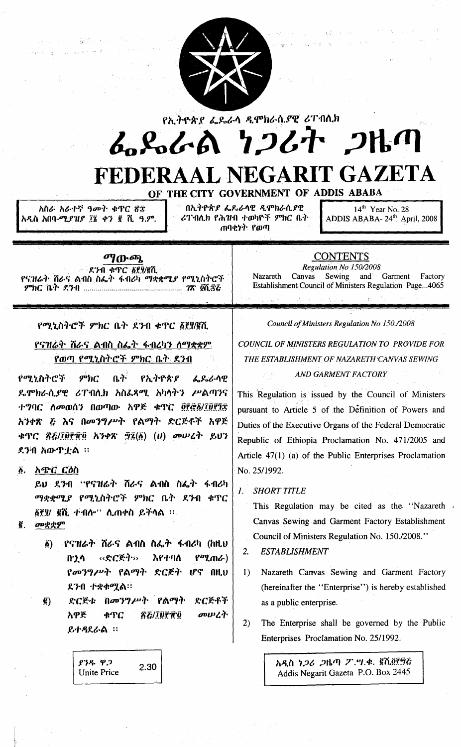

የኢትዮጵያ ፌዴራሳ ዲሞክራሲያዊ ሪፐብሲክ

# んぺんとん ファムナ フルク FEDERAAL NEGARIT GAZETA

OF THE CITY GOVERNMENT OF ADDIS ABABA

አስራ አራተኛ ዓመት ቁጥር ኛድ አዲስ አበባ-<mark>ሚ*ያዝያ ፲*፮ ቀን ፪ ሺ ዓ.ም.</mark>

 $-2.581$ 

በአትዮጵያ ፌዴራላዊ ዳሞክራሲያዊ ሪፐብሊክ የሕዝብ ተወካዮች ምክር ቤት ጠባቂነት የወጣ

14<sup>th</sup> Year No. 28 ADDIS ABABA-24<sup>th</sup> April, 2008

## ማውጫ  $R$ ንብ ቁጥር δየፃ/ይሽ

የናዝራት ሽራና ልብስ ስፌት ፋብሪካ ማቋቋሚያ የሚኒስትሮች 

# **CONTENTS**

Regulation No 150/2008 Factory Nazareth Canvas Sewing and Garment Establishment Council of Ministers Regulation Page...4065

የሚኒስትሮች ምክር ቤት ደንብ ቁጥር ፩፻፶/፪ሺ

የናዝራት ሽራና ልብስ ስፌት ፋብሪካን ለማቋቋም የወጣ የሚኒስትሮች ምክር ቤት ደንብ

ቤት የሚኒስትሮች  $9<sup>6</sup>nC$ የኢትዮጵያ ፌዴራሳዊ ዴምክራሲያዊ ሪፐብሲክ አስፌጻሚ አካላትን ሥልጣንና ተግባር ስመወሰን በወጣው አዋጅ ቁጥር ፬፻፸፩/፲፱፻፺፰ አንቀጽ ሯ እና በመንግሥት የልማት ድርጅቶች አዋጅ ቀጥር ጽሯ/፲፱፻፹፬ አንቀጽ ፵፯(፩) (ሀ) መሠረት ይህን ደንብ አውጥቷል ፡፡

Ä. አጭር ርዕስ

ይህ ደንብ "የናዝሬት ሸራና ልብስ ስፌት ፋብሪካ ማቋቋሚያ የሚኒስትሮች ምክር ቤት ደንብ ቁጥር ፩፻፶/ ፪ሽ. ተብሎ'' ሲጠቀስ ይችሳል ፡፡

- መቋቋም <u>ë</u>
	- \_የናዝሬት ሸራና ልብስ ስፌት ፋብሪካ (ከዚህ  $\ddot{\Omega}$ ‹‹ድርጅት›› እየተባለ  $0.24$ የሚጠራ) የመንግሥት የልማት ድርጅት US OHU ደንብ ተቋቁሟል።
	- $\theta$ መንግሥት የልማት ድርጅቶች  $\vec{g}$ ) ድርጅቱ አዋጅ መሠረት **4TC** *RE/TOPTO* ይተዳደራል ።



Council of Ministers Regulation No 150./2008

# COUNCIL OF MINISTERS REGULATION TO PROVIDE FOR THE ESTABLISHMENT OF NAZARETH CANVAS SEWING **AND GARMENT FACTORY**

This Regulation is issued by the Council of Ministers pursuant to Article 5 of the Definition of Powers and Duties of the Executive Organs of the Federal Democratic Republic of Ethiopia Proclamation No. 471/2005 and Article 47(1) (a) of the Public Enterprises Proclamation No. 25/1992.

# 1. SHORT TITLE

This Regulation may be cited as the "Nazareth" Canvas Sewing and Garment Factory Establishment Council of Ministers Regulation No. 150./2008."

## $2.$ **ESTABLISHMENT**

- Nazareth Canvas Sewing and Garment Factory  $\bf{1}$ (hereinafter the "Enterprise") is hereby established as a public enterprise.
- $2)$ The Enterprise shall be governed by the Public Enterprises Proclamation No. 25/1992.

አዲስ ነ*ጋሪ ጋ*ዜጣ ፖ.ሣ.ቀ. ፪ሺ፬፻፵ሯ Addis Negarit Gazeta P.O. Box 2445